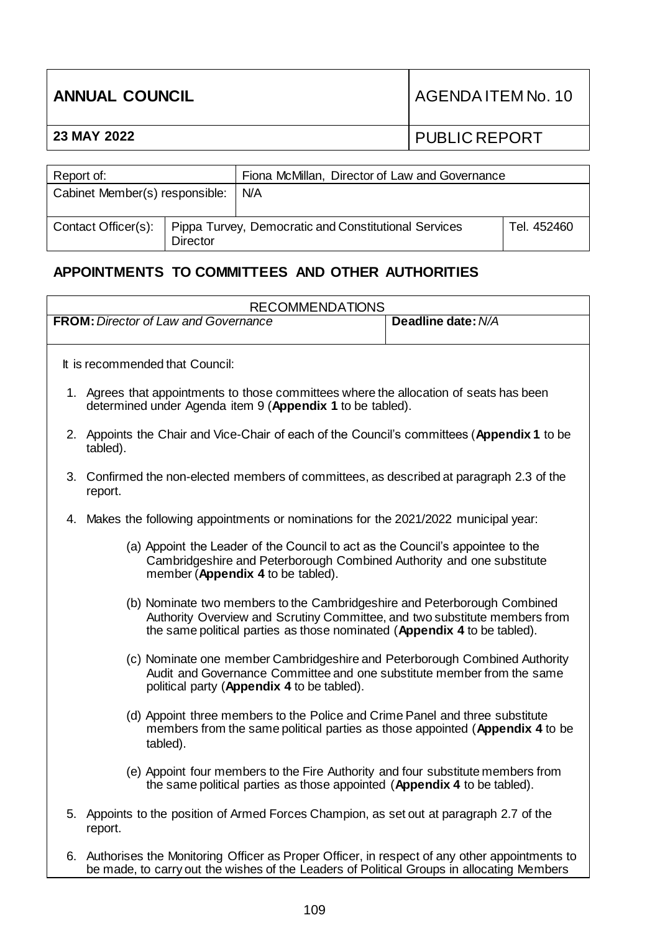| <b>ANNUAL COUNCIL</b> |                                                | AGENDA ITEM No. 10   |
|-----------------------|------------------------------------------------|----------------------|
| 23 MAY 2022           |                                                | <b>PUBLIC REPORT</b> |
|                       |                                                |                      |
| Donort of:            | Figure McMillon Director of Law and Covernance |                      |

| Report of:                     |                 | Fiona McMillan, Director of Law and Governance       |             |
|--------------------------------|-----------------|------------------------------------------------------|-------------|
| Cabinet Member(s) responsible: |                 | N/A                                                  |             |
| Contact Officer(s):            | <b>Director</b> | Pippa Turvey, Democratic and Constitutional Services | Tel. 452460 |

# **APPOINTMENTS TO COMMITTEES AND OTHER AUTHORITIES**

| <b>RECOMMENDATIONS</b> |                                                                                                                                                                                                                                    |                    |  |  |  |
|------------------------|------------------------------------------------------------------------------------------------------------------------------------------------------------------------------------------------------------------------------------|--------------------|--|--|--|
|                        | <b>FROM:</b> Director of Law and Governance                                                                                                                                                                                        | Deadline date: N/A |  |  |  |
|                        |                                                                                                                                                                                                                                    |                    |  |  |  |
|                        | It is recommended that Council:                                                                                                                                                                                                    |                    |  |  |  |
|                        | 1. Agrees that appointments to those committees where the allocation of seats has been<br>determined under Agenda item 9 (Appendix 1 to be tabled).                                                                                |                    |  |  |  |
|                        | 2. Appoints the Chair and Vice-Chair of each of the Council's committees (Appendix 1 to be<br>tabled).                                                                                                                             |                    |  |  |  |
|                        | 3. Confirmed the non-elected members of committees, as described at paragraph 2.3 of the<br>report.                                                                                                                                |                    |  |  |  |
|                        | 4. Makes the following appointments or nominations for the 2021/2022 municipal year:                                                                                                                                               |                    |  |  |  |
|                        | (a) Appoint the Leader of the Council to act as the Council's appointee to the<br>Cambridgeshire and Peterborough Combined Authority and one substitute<br>member (Appendix 4 to be tabled).                                       |                    |  |  |  |
|                        | (b) Nominate two members to the Cambridgeshire and Peterborough Combined<br>Authority Overview and Scrutiny Committee, and two substitute members from<br>the same political parties as those nominated (Appendix 4 to be tabled). |                    |  |  |  |
|                        | (c) Nominate one member Cambridgeshire and Peterborough Combined Authority<br>Audit and Governance Committee and one substitute member from the same<br>political party (Appendix 4 to be tabled).                                 |                    |  |  |  |
|                        | (d) Appoint three members to the Police and Crime Panel and three substitute<br>members from the same political parties as those appointed (Appendix 4 to be<br>tabled).                                                           |                    |  |  |  |
|                        | (e) Appoint four members to the Fire Authority and four substitute members from<br>the same political parties as those appointed (Appendix 4 to be tabled).                                                                        |                    |  |  |  |
|                        | 5. Appoints to the position of Armed Forces Champion, as set out at paragraph 2.7 of the<br>report.                                                                                                                                |                    |  |  |  |
|                        | 6. Authorises the Monitoring Officer as Proper Officer, in respect of any other appointments to<br>be made, to carry out the wishes of the Leaders of Political Groups in allocating Members                                       |                    |  |  |  |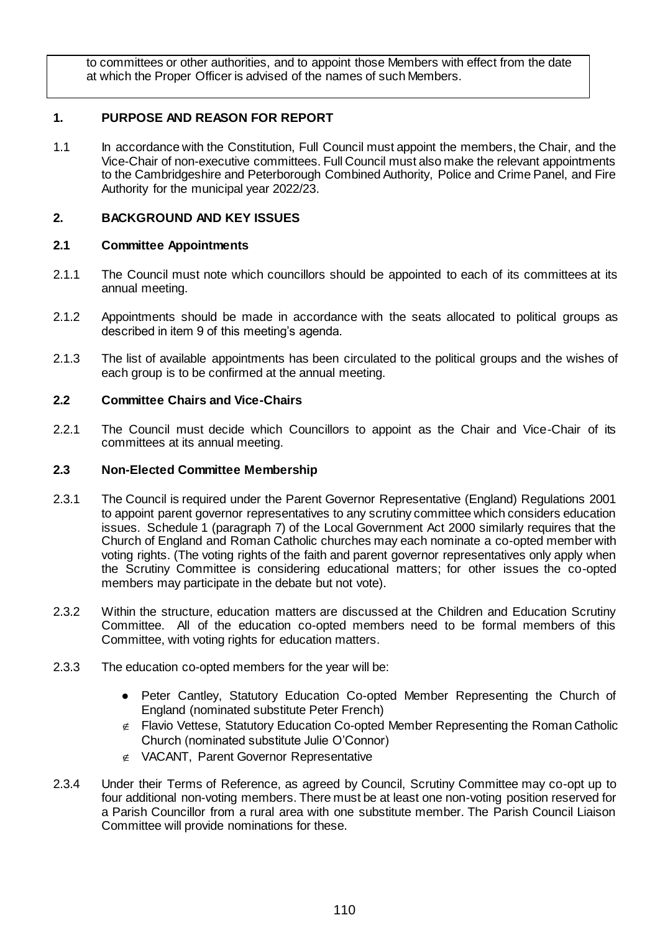to committees or other authorities, and to appoint those Members with effect from the date at which the Proper Officer is advised of the names of such Members.

# **1. PURPOSE AND REASON FOR REPORT**

1.1 In accordance with the Constitution, Full Council must appoint the members, the Chair, and the Vice-Chair of non-executive committees. Full Council must also make the relevant appointments to the Cambridgeshire and Peterborough Combined Authority, Police and Crime Panel, and Fire Authority for the municipal year 2022/23.

## **2. BACKGROUND AND KEY ISSUES**

## **2.1 Committee Appointments**

- 2.1.1 The Council must note which councillors should be appointed to each of its committees at its annual meeting.
- 2.1.2 Appointments should be made in accordance with the seats allocated to political groups as described in item 9 of this meeting's agenda.
- 2.1.3 The list of available appointments has been circulated to the political groups and the wishes of each group is to be confirmed at the annual meeting.

## **2.2 Committee Chairs and Vice-Chairs**

2.2.1 The Council must decide which Councillors to appoint as the Chair and Vice-Chair of its committees at its annual meeting.

#### **2.3 Non-Elected Committee Membership**

- 2.3.1 The Council is required under the Parent Governor Representative (England) Regulations 2001 to appoint parent governor representatives to any scrutiny committee which considers education issues. Schedule 1 (paragraph 7) of the Local Government Act 2000 similarly requires that the Church of England and Roman Catholic churches may each nominate a co-opted member with voting rights. (The voting rights of the faith and parent governor representatives only apply when the Scrutiny Committee is considering educational matters; for other issues the co-opted members may participate in the debate but not vote).
- 2.3.2 Within the structure, education matters are discussed at the Children and Education Scrutiny Committee. All of the education co-opted members need to be formal members of this Committee, with voting rights for education matters.
- 2.3.3 The education co-opted members for the year will be:
	- Peter Cantley, Statutory Education Co-opted Member Representing the Church of England (nominated substitute Peter French)
	- $\epsilon$  Flavio Vettese, Statutory Education Co-opted Member Representing the Roman Catholic Church (nominated substitute Julie O'Connor)
	- $\notin$  VACANT, Parent Governor Representative
- 2.3.4 Under their Terms of Reference, as agreed by Council, Scrutiny Committee may co-opt up to four additional non-voting members. There must be at least one non-voting position reserved for a Parish Councillor from a rural area with one substitute member. The Parish Council Liaison Committee will provide nominations for these.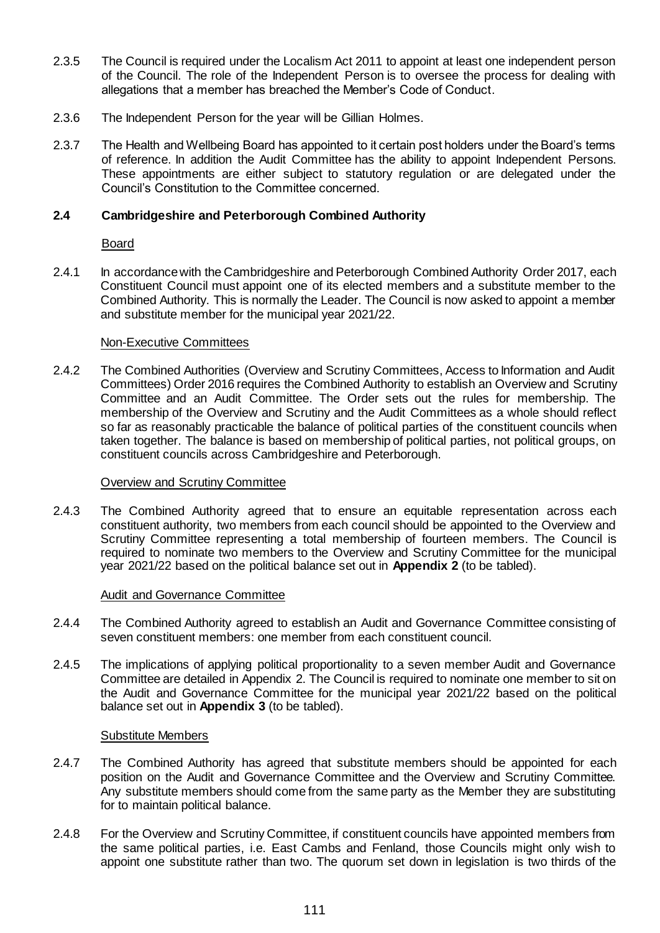- 2.3.5 The Council is required under the Localism Act 2011 to appoint at least one independent person of the Council. The role of the Independent Person is to oversee the process for dealing with allegations that a member has breached the Member's Code of Conduct.
- 2.3.6 The Independent Person for the year will be Gillian Holmes.
- 2.3.7 The Health and Wellbeing Board has appointed to it certain post holders under the Board's terms of reference. In addition the Audit Committee has the ability to appoint Independent Persons. These appointments are either subject to statutory regulation or are delegated under the Council's Constitution to the Committee concerned.

#### **2.4 Cambridgeshire and Peterborough Combined Authority**

#### Board

2.4.1 In accordance with the Cambridgeshire and Peterborough Combined Authority Order 2017, each Constituent Council must appoint one of its elected members and a substitute member to the Combined Authority. This is normally the Leader. The Council is now asked to appoint a member and substitute member for the municipal year 2021/22.

#### Non-Executive Committees

2.4.2 The Combined Authorities (Overview and Scrutiny Committees, Access to Information and Audit Committees) Order 2016 requires the Combined Authority to establish an Overview and Scrutiny Committee and an Audit Committee. The Order sets out the rules for membership. The membership of the Overview and Scrutiny and the Audit Committees as a whole should reflect so far as reasonably practicable the balance of political parties of the constituent councils when taken together. The balance is based on membership of political parties, not political groups, on constituent councils across Cambridgeshire and Peterborough.

#### Overview and Scrutiny Committee

2.4.3 The Combined Authority agreed that to ensure an equitable representation across each constituent authority, two members from each council should be appointed to the Overview and Scrutiny Committee representing a total membership of fourteen members. The Council is required to nominate two members to the Overview and Scrutiny Committee for the municipal year 2021/22 based on the political balance set out in **Appendix 2** (to be tabled).

#### Audit and Governance Committee

- 2.4.4 The Combined Authority agreed to establish an Audit and Governance Committee consisting of seven constituent members: one member from each constituent council.
- 2.4.5 The implications of applying political proportionality to a seven member Audit and Governance Committee are detailed in Appendix 2. The Council is required to nominate one member to sit on the Audit and Governance Committee for the municipal year 2021/22 based on the political balance set out in **Appendix 3** (to be tabled).

## Substitute Members

- 2.4.7 The Combined Authority has agreed that substitute members should be appointed for each position on the Audit and Governance Committee and the Overview and Scrutiny Committee. Any substitute members should come from the same party as the Member they are substituting for to maintain political balance.
- 2.4.8 For the Overview and Scrutiny Committee, if constituent councils have appointed members from the same political parties, i.e. East Cambs and Fenland, those Councils might only wish to appoint one substitute rather than two. The quorum set down in legislation is two thirds of the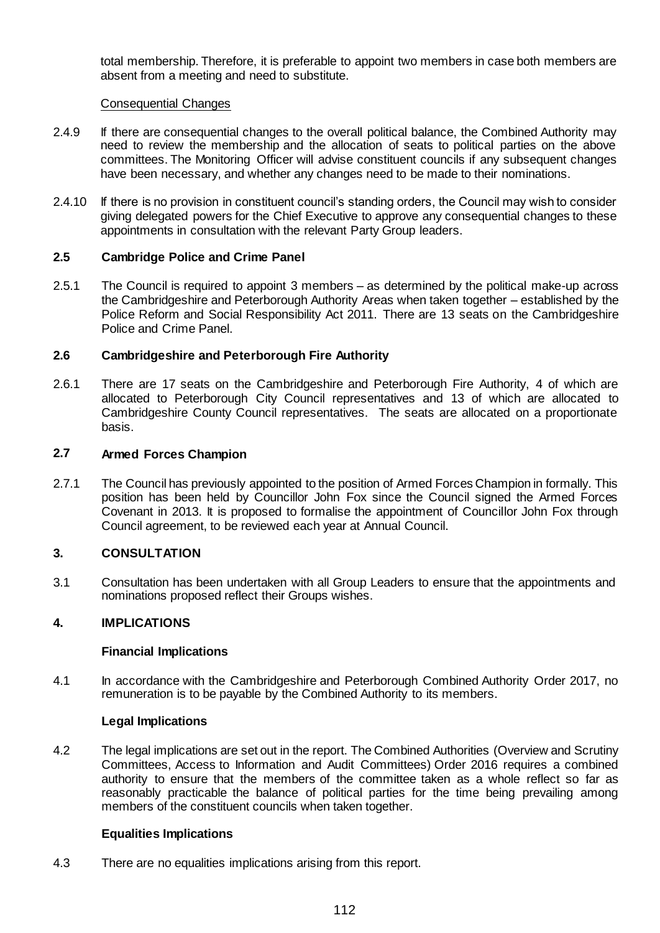total membership. Therefore, it is preferable to appoint two members in case both members are absent from a meeting and need to substitute.

#### Consequential Changes

- 2.4.9 If there are consequential changes to the overall political balance, the Combined Authority may need to review the membership and the allocation of seats to political parties on the above committees. The Monitoring Officer will advise constituent councils if any subsequent changes have been necessary, and whether any changes need to be made to their nominations.
- 2.4.10 If there is no provision in constituent council's standing orders, the Council may wish to consider giving delegated powers for the Chief Executive to approve any consequential changes to these appointments in consultation with the relevant Party Group leaders.

## **2.5 Cambridge Police and Crime Panel**

2.5.1 The Council is required to appoint 3 members – as determined by the political make-up across the Cambridgeshire and Peterborough Authority Areas when taken together – established by the Police Reform and Social Responsibility Act 2011. There are 13 seats on the Cambridgeshire Police and Crime Panel.

## **2.6 Cambridgeshire and Peterborough Fire Authority**

2.6.1 There are 17 seats on the Cambridgeshire and Peterborough Fire Authority, 4 of which are allocated to Peterborough City Council representatives and 13 of which are allocated to Cambridgeshire County Council representatives. The seats are allocated on a proportionate basis.

## **2.7 Armed Forces Champion**

2.7.1 The Council has previously appointed to the position of Armed Forces Champion in formally. This position has been held by Councillor John Fox since the Council signed the Armed Forces Covenant in 2013. It is proposed to formalise the appointment of Councillor John Fox through Council agreement, to be reviewed each year at Annual Council.

## **3. CONSULTATION**

3.1 Consultation has been undertaken with all Group Leaders to ensure that the appointments and nominations proposed reflect their Groups wishes.

## **4. IMPLICATIONS**

#### **Financial Implications**

4.1 In accordance with the Cambridgeshire and Peterborough Combined Authority Order 2017, no remuneration is to be payable by the Combined Authority to its members.

#### **Legal Implications**

4.2 The legal implications are set out in the report. The Combined Authorities (Overview and Scrutiny Committees, Access to Information and Audit Committees) Order 2016 requires a combined authority to ensure that the members of the committee taken as a whole reflect so far as reasonably practicable the balance of political parties for the time being prevailing among members of the constituent councils when taken together.

## **Equalities Implications**

4.3 There are no equalities implications arising from this report.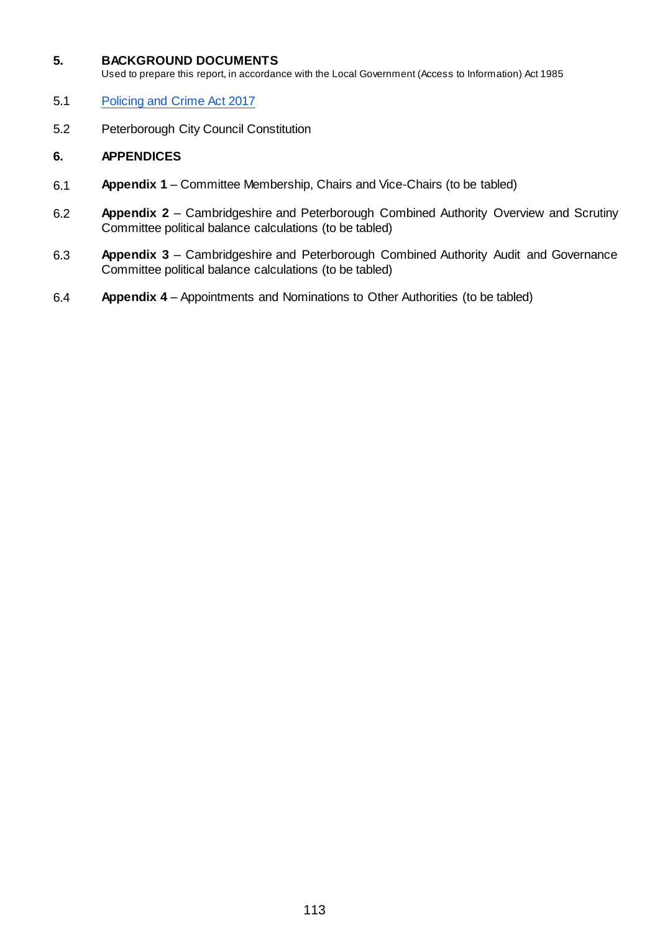#### **5. BACKGROUND DOCUMENTS**

Used to prepare this report, in accordance with the Local Government (Access to Information) Act 1985

- 5.1 [Policing and Crime Act 2017](http://www.legislation.gov.uk/ukpga/2017/3/contents/enacted)
- 5.2 Peterborough City Council Constitution

## **6. APPENDICES**

- 6.1 **Appendix 1** Committee Membership, Chairs and Vice-Chairs (to be tabled)
- 6.2 **Appendix 2**  Cambridgeshire and Peterborough Combined Authority Overview and Scrutiny Committee political balance calculations (to be tabled)
- 6.3 **Appendix 3**  Cambridgeshire and Peterborough Combined Authority Audit and Governance Committee political balance calculations (to be tabled)
- 6.4 **Appendix 4** Appointments and Nominations to Other Authorities (to be tabled)